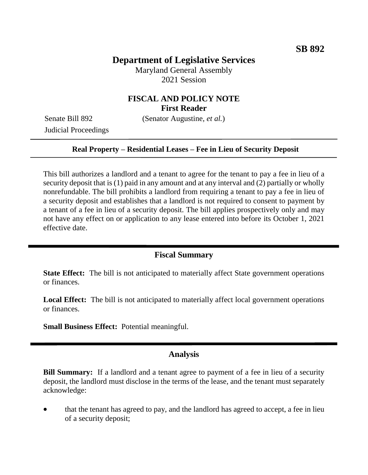# **Department of Legislative Services**

Maryland General Assembly 2021 Session

# **FISCAL AND POLICY NOTE First Reader**

Judicial Proceedings

Senate Bill 892 (Senator Augustine, *et al.*)

#### **Real Property – Residential Leases – Fee in Lieu of Security Deposit**

This bill authorizes a landlord and a tenant to agree for the tenant to pay a fee in lieu of a security deposit that is (1) paid in any amount and at any interval and (2) partially or wholly nonrefundable. The bill prohibits a landlord from requiring a tenant to pay a fee in lieu of a security deposit and establishes that a landlord is not required to consent to payment by a tenant of a fee in lieu of a security deposit. The bill applies prospectively only and may not have any effect on or application to any lease entered into before its October 1, 2021 effective date.

## **Fiscal Summary**

**State Effect:** The bill is not anticipated to materially affect State government operations or finances.

**Local Effect:** The bill is not anticipated to materially affect local government operations or finances.

**Small Business Effect:** Potential meaningful.

### **Analysis**

**Bill Summary:** If a landlord and a tenant agree to payment of a fee in lieu of a security deposit, the landlord must disclose in the terms of the lease, and the tenant must separately acknowledge:

 that the tenant has agreed to pay, and the landlord has agreed to accept, a fee in lieu of a security deposit;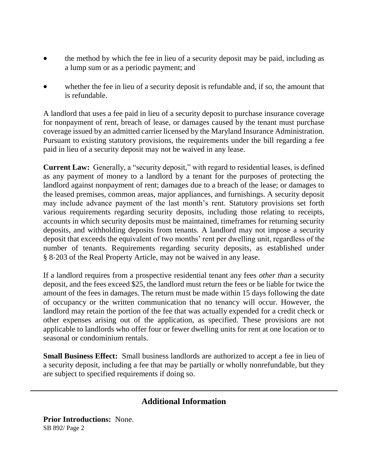- the method by which the fee in lieu of a security deposit may be paid, including as a lump sum or as a periodic payment; and
- whether the fee in lieu of a security deposit is refundable and, if so, the amount that is refundable.

A landlord that uses a fee paid in lieu of a security deposit to purchase insurance coverage for nonpayment of rent, breach of lease, or damages caused by the tenant must purchase coverage issued by an admitted carrier licensed by the Maryland Insurance Administration. Pursuant to existing statutory provisions, the requirements under the bill regarding a fee paid in lieu of a security deposit may not be waived in any lease.

**Current Law:** Generally, a "security deposit," with regard to residential leases, is defined as any payment of money to a landlord by a tenant for the purposes of protecting the landlord against nonpayment of rent; damages due to a breach of the lease; or damages to the leased premises, common areas, major appliances, and furnishings. A security deposit may include advance payment of the last month's rent. Statutory provisions set forth various requirements regarding security deposits, including those relating to receipts, accounts in which security deposits must be maintained, timeframes for returning security deposits, and withholding deposits from tenants. A landlord may not impose a security deposit that exceeds the equivalent of two months' rent per dwelling unit, regardless of the number of tenants. Requirements regarding security deposits, as established under § 8-203 of the Real Property Article, may not be waived in any lease.

If a landlord requires from a prospective residential tenant any fees *other than* a security deposit, and the fees exceed \$25, the landlord must return the fees or be liable for twice the amount of the fees in damages. The return must be made within 15 days following the date of occupancy or the written communication that no tenancy will occur. However, the landlord may retain the portion of the fee that was actually expended for a credit check or other expenses arising out of the application, as specified. These provisions are not applicable to landlords who offer four or fewer dwelling units for rent at one location or to seasonal or condominium rentals.

**Small Business Effect:** Small business landlords are authorized to accept a fee in lieu of a security deposit, including a fee that may be partially or wholly nonrefundable, but they are subject to specified requirements if doing so.

## **Additional Information**

SB 892/ Page 2 **Prior Introductions:** None.